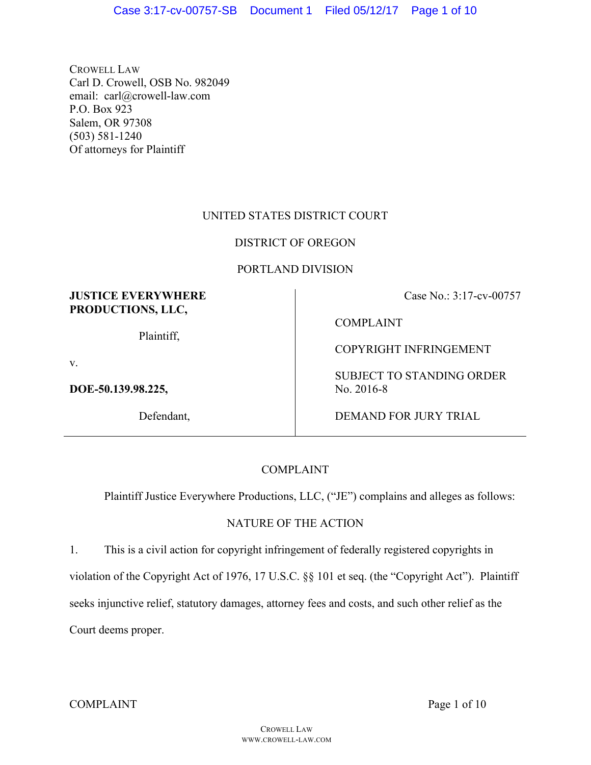CROWELL LAW Carl D. Crowell, OSB No. 982049 email: carl@crowell-law.com P.O. Box 923 Salem, OR 97308 (503) 581-1240 Of attorneys for Plaintiff

# UNITED STATES DISTRICT COURT

# DISTRICT OF OREGON

# PORTLAND DIVISION

# **JUSTICE EVERYWHERE PRODUCTIONS, LLC,**

Plaintiff,

v.

**DOE-50.139.98.225,** 

Defendant,

Case No.: 3:17-cv-00757

COMPLAINT

COPYRIGHT INFRINGEMENT

SUBJECT TO STANDING ORDER No. 2016-8

DEMAND FOR JURY TRIAL

# COMPLAINT

Plaintiff Justice Everywhere Productions, LLC, ("JE") complains and alleges as follows:

# NATURE OF THE ACTION

1. This is a civil action for copyright infringement of federally registered copyrights in violation of the Copyright Act of 1976, 17 U.S.C. §§ 101 et seq. (the "Copyright Act"). Plaintiff seeks injunctive relief, statutory damages, attorney fees and costs, and such other relief as the Court deems proper.

COMPLAINT Page 1 of 10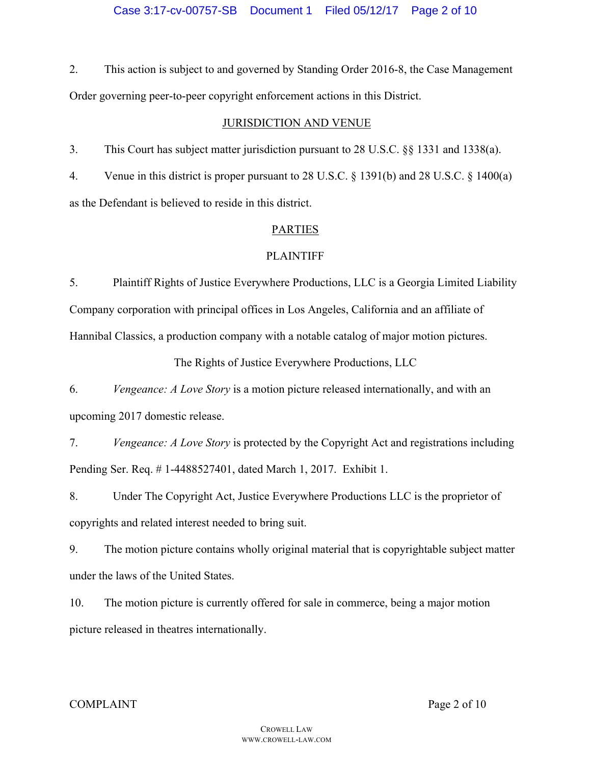2. This action is subject to and governed by Standing Order 2016-8, the Case Management Order governing peer-to-peer copyright enforcement actions in this District.

## JURISDICTION AND VENUE

3. This Court has subject matter jurisdiction pursuant to 28 U.S.C. §§ 1331 and 1338(a).

4. Venue in this district is proper pursuant to 28 U.S.C. § 1391(b) and 28 U.S.C. § 1400(a) as the Defendant is believed to reside in this district.

# PARTIES

# **PLAINTIFF**

5. Plaintiff Rights of Justice Everywhere Productions, LLC is a Georgia Limited Liability Company corporation with principal offices in Los Angeles, California and an affiliate of Hannibal Classics, a production company with a notable catalog of major motion pictures.

The Rights of Justice Everywhere Productions, LLC

6. *Vengeance: A Love Story* is a motion picture released internationally, and with an upcoming 2017 domestic release.

7. *Vengeance: A Love Story* is protected by the Copyright Act and registrations including Pending Ser. Req. # 1-4488527401, dated March 1, 2017. Exhibit 1.

8. Under The Copyright Act, Justice Everywhere Productions LLC is the proprietor of copyrights and related interest needed to bring suit.

9. The motion picture contains wholly original material that is copyrightable subject matter under the laws of the United States.

10. The motion picture is currently offered for sale in commerce, being a major motion picture released in theatres internationally.

## COMPLAINT Page 2 of 10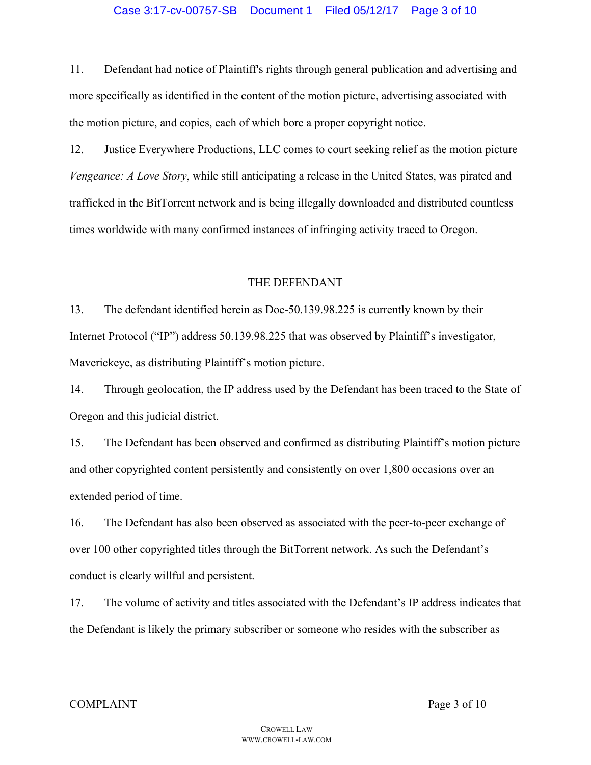11. Defendant had notice of Plaintiff's rights through general publication and advertising and more specifically as identified in the content of the motion picture, advertising associated with the motion picture, and copies, each of which bore a proper copyright notice.

12. Justice Everywhere Productions, LLC comes to court seeking relief as the motion picture *Vengeance: A Love Story*, while still anticipating a release in the United States, was pirated and trafficked in the BitTorrent network and is being illegally downloaded and distributed countless times worldwide with many confirmed instances of infringing activity traced to Oregon.

### THE DEFENDANT

13. The defendant identified herein as Doe-50.139.98.225 is currently known by their Internet Protocol ("IP") address 50.139.98.225 that was observed by Plaintiff's investigator, Maverickeye, as distributing Plaintiff's motion picture.

14. Through geolocation, the IP address used by the Defendant has been traced to the State of Oregon and this judicial district.

15. The Defendant has been observed and confirmed as distributing Plaintiff's motion picture and other copyrighted content persistently and consistently on over 1,800 occasions over an extended period of time.

16. The Defendant has also been observed as associated with the peer-to-peer exchange of over 100 other copyrighted titles through the BitTorrent network. As such the Defendant's conduct is clearly willful and persistent.

17. The volume of activity and titles associated with the Defendant's IP address indicates that the Defendant is likely the primary subscriber or someone who resides with the subscriber as

#### COMPLAINT Page 3 of 10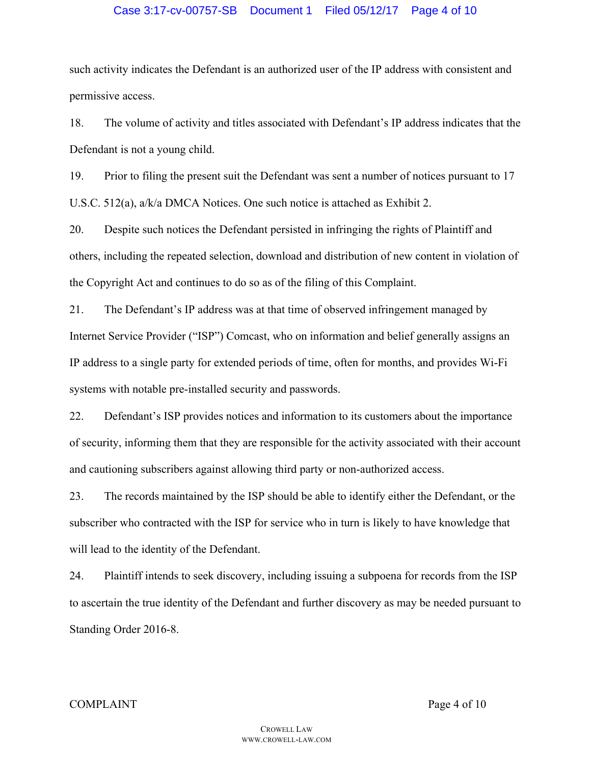## Case 3:17-cv-00757-SB Document 1 Filed 05/12/17 Page 4 of 10

such activity indicates the Defendant is an authorized user of the IP address with consistent and permissive access.

18. The volume of activity and titles associated with Defendant's IP address indicates that the Defendant is not a young child.

19. Prior to filing the present suit the Defendant was sent a number of notices pursuant to 17 U.S.C. 512(a), a/k/a DMCA Notices. One such notice is attached as Exhibit 2.

20. Despite such notices the Defendant persisted in infringing the rights of Plaintiff and others, including the repeated selection, download and distribution of new content in violation of the Copyright Act and continues to do so as of the filing of this Complaint.

21. The Defendant's IP address was at that time of observed infringement managed by Internet Service Provider ("ISP") Comcast, who on information and belief generally assigns an IP address to a single party for extended periods of time, often for months, and provides Wi-Fi systems with notable pre-installed security and passwords.

22. Defendant's ISP provides notices and information to its customers about the importance of security, informing them that they are responsible for the activity associated with their account and cautioning subscribers against allowing third party or non-authorized access.

23. The records maintained by the ISP should be able to identify either the Defendant, or the subscriber who contracted with the ISP for service who in turn is likely to have knowledge that will lead to the identity of the Defendant.

24. Plaintiff intends to seek discovery, including issuing a subpoena for records from the ISP to ascertain the true identity of the Defendant and further discovery as may be needed pursuant to Standing Order 2016-8.

#### COMPLAINT Page 4 of 10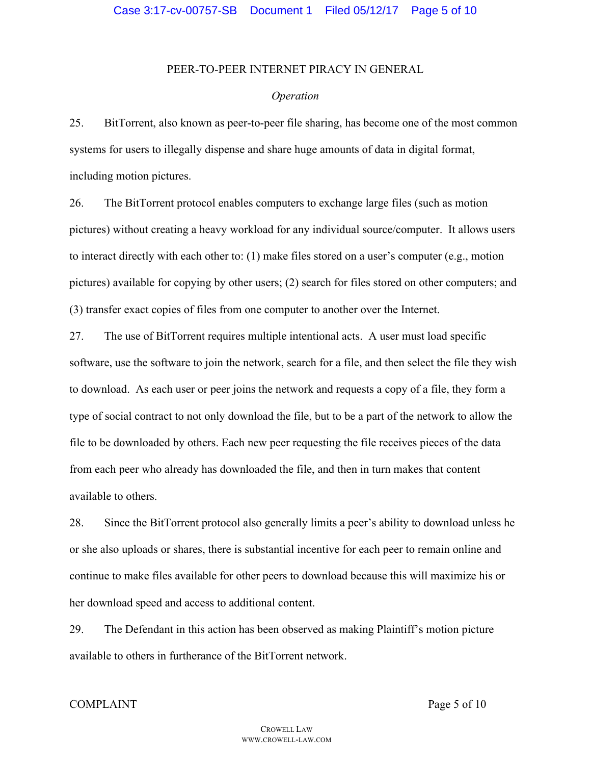### PEER-TO-PEER INTERNET PIRACY IN GENERAL

#### *Operation*

25. BitTorrent, also known as peer-to-peer file sharing, has become one of the most common systems for users to illegally dispense and share huge amounts of data in digital format, including motion pictures.

26. The BitTorrent protocol enables computers to exchange large files (such as motion pictures) without creating a heavy workload for any individual source/computer. It allows users to interact directly with each other to: (1) make files stored on a user's computer (e.g., motion pictures) available for copying by other users; (2) search for files stored on other computers; and (3) transfer exact copies of files from one computer to another over the Internet.

27. The use of BitTorrent requires multiple intentional acts. A user must load specific software, use the software to join the network, search for a file, and then select the file they wish to download. As each user or peer joins the network and requests a copy of a file, they form a type of social contract to not only download the file, but to be a part of the network to allow the file to be downloaded by others. Each new peer requesting the file receives pieces of the data from each peer who already has downloaded the file, and then in turn makes that content available to others.

28. Since the BitTorrent protocol also generally limits a peer's ability to download unless he or she also uploads or shares, there is substantial incentive for each peer to remain online and continue to make files available for other peers to download because this will maximize his or her download speed and access to additional content.

29. The Defendant in this action has been observed as making Plaintiff's motion picture available to others in furtherance of the BitTorrent network.

#### COMPLAINT Page 5 of 10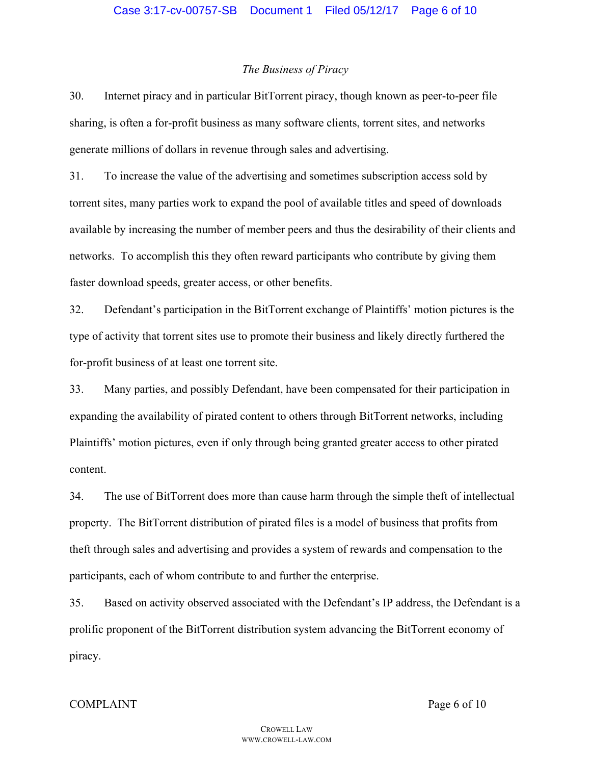#### *The Business of Piracy*

30. Internet piracy and in particular BitTorrent piracy, though known as peer-to-peer file sharing, is often a for-profit business as many software clients, torrent sites, and networks generate millions of dollars in revenue through sales and advertising.

31. To increase the value of the advertising and sometimes subscription access sold by torrent sites, many parties work to expand the pool of available titles and speed of downloads available by increasing the number of member peers and thus the desirability of their clients and networks. To accomplish this they often reward participants who contribute by giving them faster download speeds, greater access, or other benefits.

32. Defendant's participation in the BitTorrent exchange of Plaintiffs' motion pictures is the type of activity that torrent sites use to promote their business and likely directly furthered the for-profit business of at least one torrent site.

33. Many parties, and possibly Defendant, have been compensated for their participation in expanding the availability of pirated content to others through BitTorrent networks, including Plaintiffs' motion pictures, even if only through being granted greater access to other pirated content.

34. The use of BitTorrent does more than cause harm through the simple theft of intellectual property. The BitTorrent distribution of pirated files is a model of business that profits from theft through sales and advertising and provides a system of rewards and compensation to the participants, each of whom contribute to and further the enterprise.

35. Based on activity observed associated with the Defendant's IP address, the Defendant is a prolific proponent of the BitTorrent distribution system advancing the BitTorrent economy of piracy.

#### COMPLAINT Page 6 of 10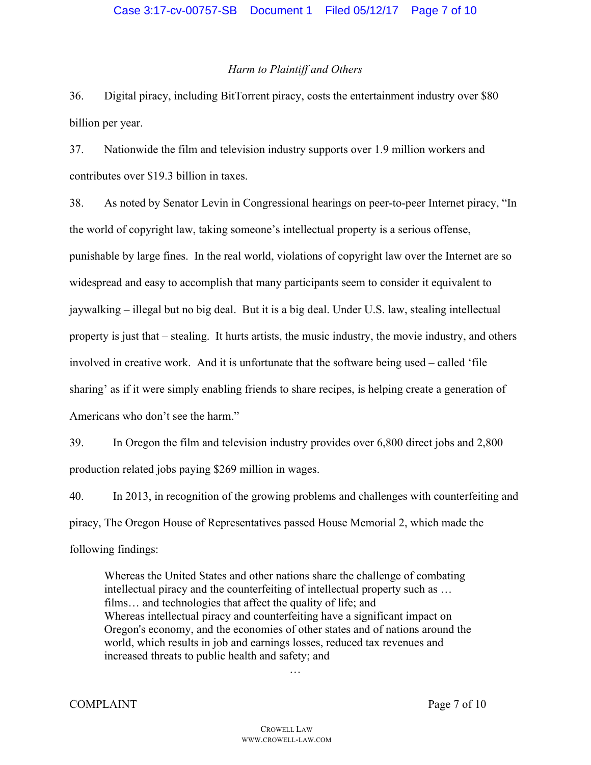### *Harm to Plaintiff and Others*

36. Digital piracy, including BitTorrent piracy, costs the entertainment industry over \$80 billion per year.

37. Nationwide the film and television industry supports over 1.9 million workers and contributes over \$19.3 billion in taxes.

38. As noted by Senator Levin in Congressional hearings on peer-to-peer Internet piracy, "In the world of copyright law, taking someone's intellectual property is a serious offense, punishable by large fines. In the real world, violations of copyright law over the Internet are so widespread and easy to accomplish that many participants seem to consider it equivalent to jaywalking – illegal but no big deal. But it is a big deal. Under U.S. law, stealing intellectual property is just that – stealing. It hurts artists, the music industry, the movie industry, and others involved in creative work. And it is unfortunate that the software being used – called 'file sharing' as if it were simply enabling friends to share recipes, is helping create a generation of Americans who don't see the harm."

39. In Oregon the film and television industry provides over 6,800 direct jobs and 2,800 production related jobs paying \$269 million in wages.

40. In 2013, in recognition of the growing problems and challenges with counterfeiting and piracy, The Oregon House of Representatives passed House Memorial 2, which made the following findings:

Whereas the United States and other nations share the challenge of combating intellectual piracy and the counterfeiting of intellectual property such as … films… and technologies that affect the quality of life; and Whereas intellectual piracy and counterfeiting have a significant impact on Oregon's economy, and the economies of other states and of nations around the world, which results in job and earnings losses, reduced tax revenues and increased threats to public health and safety; and

…

COMPLAINT Page 7 of 10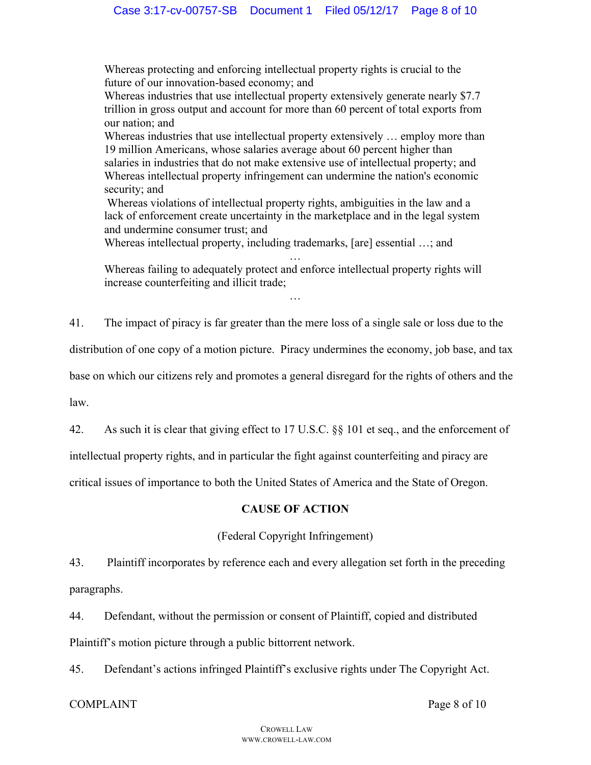Whereas protecting and enforcing intellectual property rights is crucial to the future of our innovation-based economy; and

Whereas industries that use intellectual property extensively generate nearly \$7.7 trillion in gross output and account for more than 60 percent of total exports from our nation; and

Whereas industries that use intellectual property extensively … employ more than 19 million Americans, whose salaries average about 60 percent higher than salaries in industries that do not make extensive use of intellectual property; and Whereas intellectual property infringement can undermine the nation's economic security; and

Whereas violations of intellectual property rights, ambiguities in the law and a lack of enforcement create uncertainty in the marketplace and in the legal system and undermine consumer trust; and

Whereas intellectual property, including trademarks, [are] essential …; and

… Whereas failing to adequately protect and enforce intellectual property rights will increase counterfeiting and illicit trade;

…

41. The impact of piracy is far greater than the mere loss of a single sale or loss due to the

distribution of one copy of a motion picture. Piracy undermines the economy, job base, and tax

base on which our citizens rely and promotes a general disregard for the rights of others and the

law.

42. As such it is clear that giving effect to 17 U.S.C. §§ 101 et seq., and the enforcement of

intellectual property rights, and in particular the fight against counterfeiting and piracy are

critical issues of importance to both the United States of America and the State of Oregon.

# **CAUSE OF ACTION**

# (Federal Copyright Infringement)

43. Plaintiff incorporates by reference each and every allegation set forth in the preceding paragraphs.

44. Defendant, without the permission or consent of Plaintiff, copied and distributed Plaintiff's motion picture through a public bittorrent network.

45. Defendant's actions infringed Plaintiff's exclusive rights under The Copyright Act.

# COMPLAINT Page 8 of 10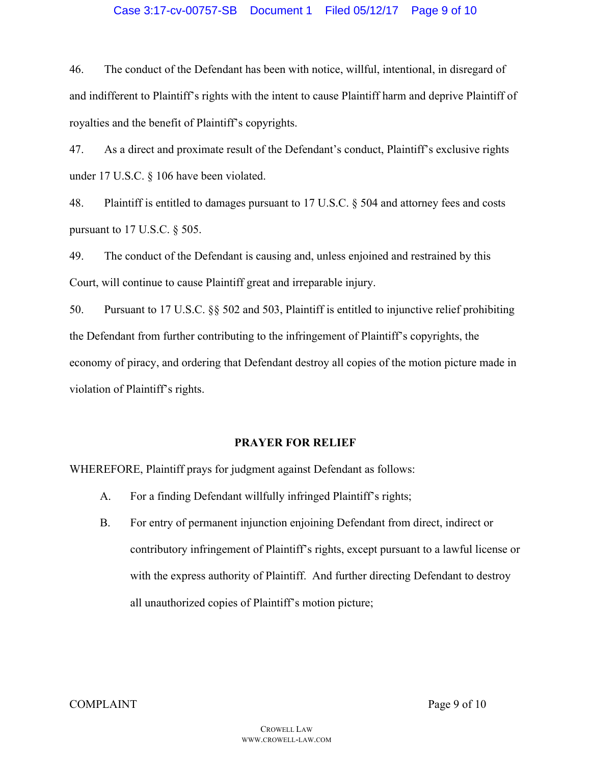## Case 3:17-cv-00757-SB Document 1 Filed 05/12/17 Page 9 of 10

46. The conduct of the Defendant has been with notice, willful, intentional, in disregard of and indifferent to Plaintiff's rights with the intent to cause Plaintiff harm and deprive Plaintiff of royalties and the benefit of Plaintiff's copyrights.

47. As a direct and proximate result of the Defendant's conduct, Plaintiff's exclusive rights under 17 U.S.C. § 106 have been violated.

48. Plaintiff is entitled to damages pursuant to 17 U.S.C. § 504 and attorney fees and costs pursuant to 17 U.S.C. § 505.

49. The conduct of the Defendant is causing and, unless enjoined and restrained by this Court, will continue to cause Plaintiff great and irreparable injury.

50. Pursuant to 17 U.S.C. §§ 502 and 503, Plaintiff is entitled to injunctive relief prohibiting the Defendant from further contributing to the infringement of Plaintiff's copyrights, the economy of piracy, and ordering that Defendant destroy all copies of the motion picture made in violation of Plaintiff's rights.

## **PRAYER FOR RELIEF**

WHEREFORE, Plaintiff prays for judgment against Defendant as follows:

- A. For a finding Defendant willfully infringed Plaintiff's rights;
- B. For entry of permanent injunction enjoining Defendant from direct, indirect or contributory infringement of Plaintiff's rights, except pursuant to a lawful license or with the express authority of Plaintiff. And further directing Defendant to destroy all unauthorized copies of Plaintiff's motion picture;

COMPLAINT Page 9 of 10